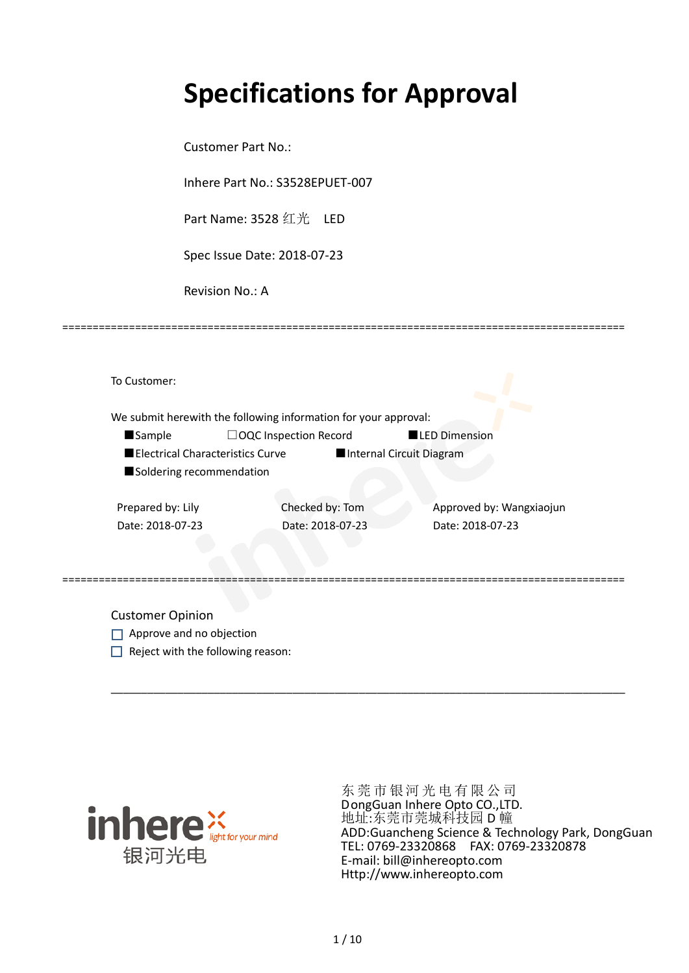# **Specifications for Approval**

Customer Part No.:

Inhere Part No.: S3528EPUET-007

Part Name: 3528 红光 LED

Spec Issue Date: 2018-07-23

Revision No.: A

|                                  | We submit herewith the following information for your approval: |                          |
|----------------------------------|-----------------------------------------------------------------|--------------------------|
| <b>Sample</b>                    | $\Box$ OQC Inspection Record                                    | <b>LED Dimension</b>     |
| Electrical Characteristics Curve |                                                                 | Internal Circuit Diagram |
| Soldering recommendation         |                                                                 |                          |
|                                  |                                                                 |                          |
| Prepared by: Lily                | Checked by: Tom                                                 | Approved by: Wangxiaojun |
| Date: 2018-07-23                 | Date: 2018-07-23                                                | Date: 2018-07-23         |
|                                  |                                                                 |                          |
|                                  |                                                                 |                          |

\_\_\_\_\_\_\_\_\_\_\_\_\_\_\_\_\_\_\_\_\_\_\_\_\_\_\_\_\_\_\_\_\_\_\_\_\_\_\_\_\_\_\_\_\_\_\_\_\_\_\_\_\_\_\_\_\_\_\_\_\_\_\_\_\_\_\_\_\_\_\_\_\_\_\_\_\_\_\_\_\_\_\_\_\_

=============================================================================================

Customer Opinion

- Approve and no objection
- $\Box$  Reject with the following reason:



东莞市银河光电有限公司 DongGuan Inhere Opto CO.,LTD. 地址:东莞市莞城科技园 D 幢 ADD:Guancheng Science & Technology Park, DongGuan TEL: 0769-23320868 FAX: 0769-23320878 E-mail: bill@inhereopto.com Http://www.inhereopto.com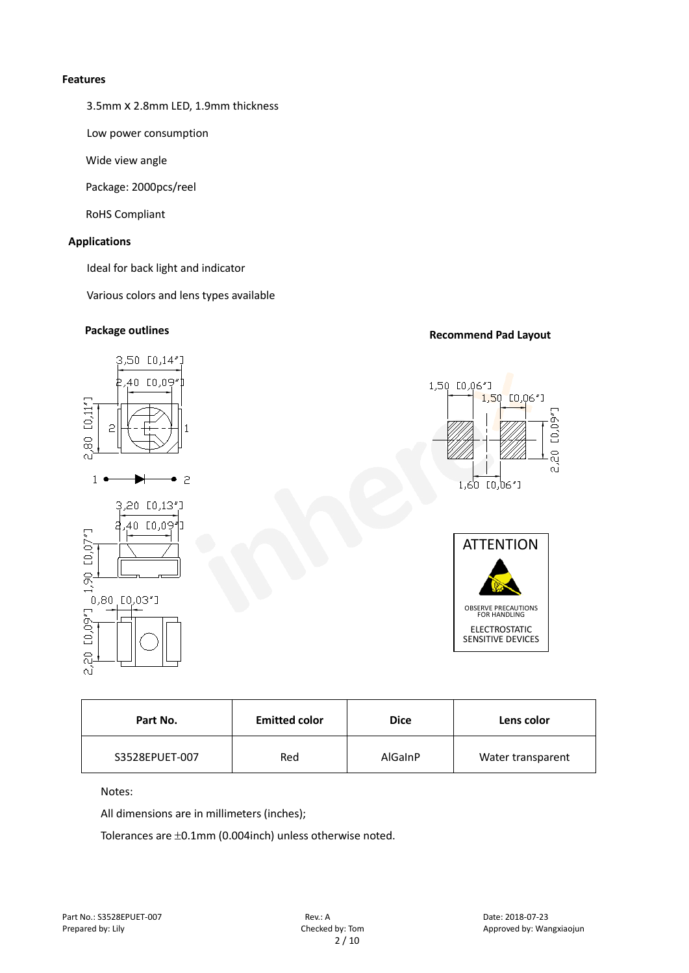#### **Features**

3.5mmⅹ2.8mm LED, 1.9mm thickness

Low power consumption

Wide view angle

Package: 2000pcs/reel

RoHS Compliant

#### **Applications**

Ideal for back light and indicator

Various colors and lens types available

## **Package outlines Recommend Pad Layout**



| <b>Emitted color</b><br>Part No. |     | <b>Dice</b> | Lens color        |  |
|----------------------------------|-----|-------------|-------------------|--|
| S3528EPUET-007                   | Red | AlGaInP     | Water transparent |  |

Notes:

All dimensions are in millimeters (inches);

Tolerances are ±0.1mm (0.004inch) unless otherwise noted.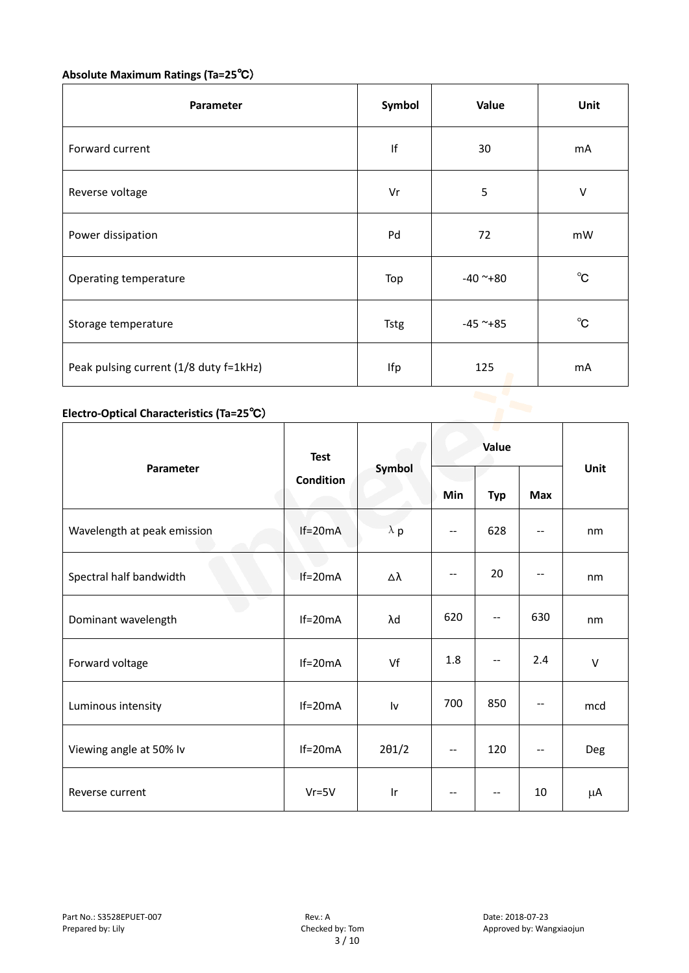# **Absolute Maximum Ratings (Ta=25**℃)

| Parameter                              | Symbol      | Value         | Unit         |
|----------------------------------------|-------------|---------------|--------------|
| Forward current                        | If          | 30            | mA           |
| Reverse voltage                        | Vr          | 5             | $\vee$       |
| Power dissipation                      | Pd          | 72            | mW           |
| Operating temperature                  | Top         | $-40$ ~+80    | $^{\circ}$ C |
| Storage temperature                    | <b>Tstg</b> | $-45$ ~ $+85$ | $^{\circ}$ C |
| Peak pulsing current (1/8 duty f=1kHz) | Ifp         | 125           | mA           |
|                                        |             |               |              |

### **Electro-Optical Characteristics (Ta=25**℃)

|                             | <b>Test</b><br><b>Condition</b> | Symbol                  | Value                    |            |            |            |
|-----------------------------|---------------------------------|-------------------------|--------------------------|------------|------------|------------|
| Parameter                   |                                 |                         | Min                      | <b>Typ</b> | <b>Max</b> | Unit       |
| Wavelength at peak emission | $If=20mA$                       | $\lambda$ p             | --                       | 628        | $-$        | nm         |
| Spectral half bandwidth     | $If=20mA$                       | Δλ                      | $\overline{\phantom{a}}$ | 20         | --         | nm         |
| Dominant wavelength         | $If=20mA$                       | λd                      | 620                      | $-$        | 630        | nm         |
| Forward voltage             | $If=20mA$                       | Vf                      | 1.8                      | --         | 2.4        | $\vee$     |
| Luminous intensity          | $If=20mA$                       | Iv                      | 700                      | 850        |            | mcd        |
| Viewing angle at 50% lv     | $If=20mA$                       | $2\theta$ 1/2           | $\overline{\phantom{a}}$ | 120        | --         | <b>Deg</b> |
| Reverse current             | $Vr = 5V$                       | $\mathsf{I} \mathsf{r}$ | $\overline{\phantom{m}}$ | --         | 10         | μA         |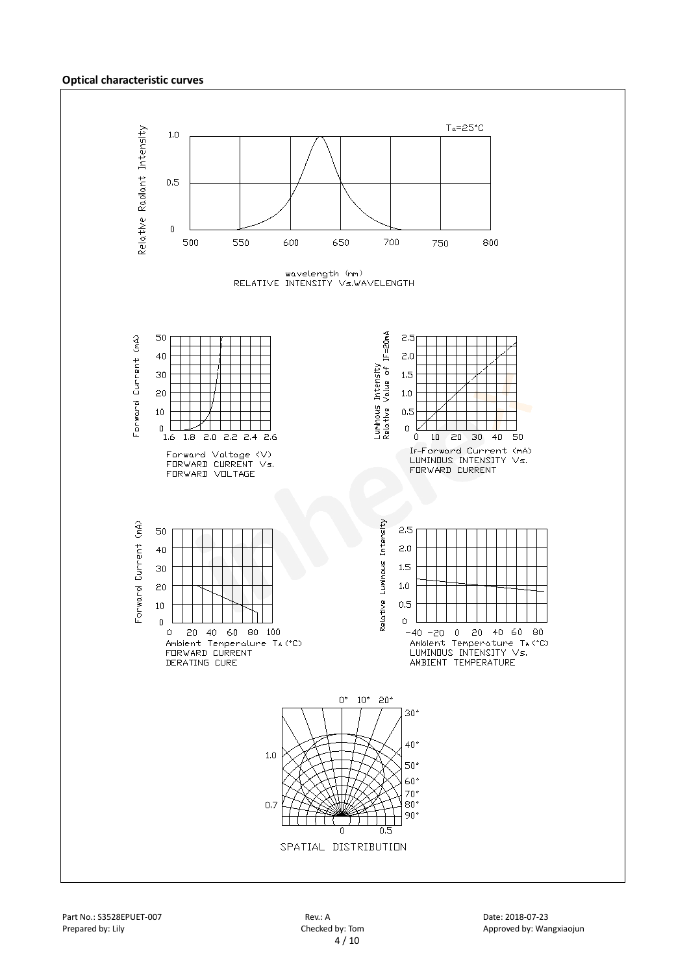#### **Optical characteristic curves**

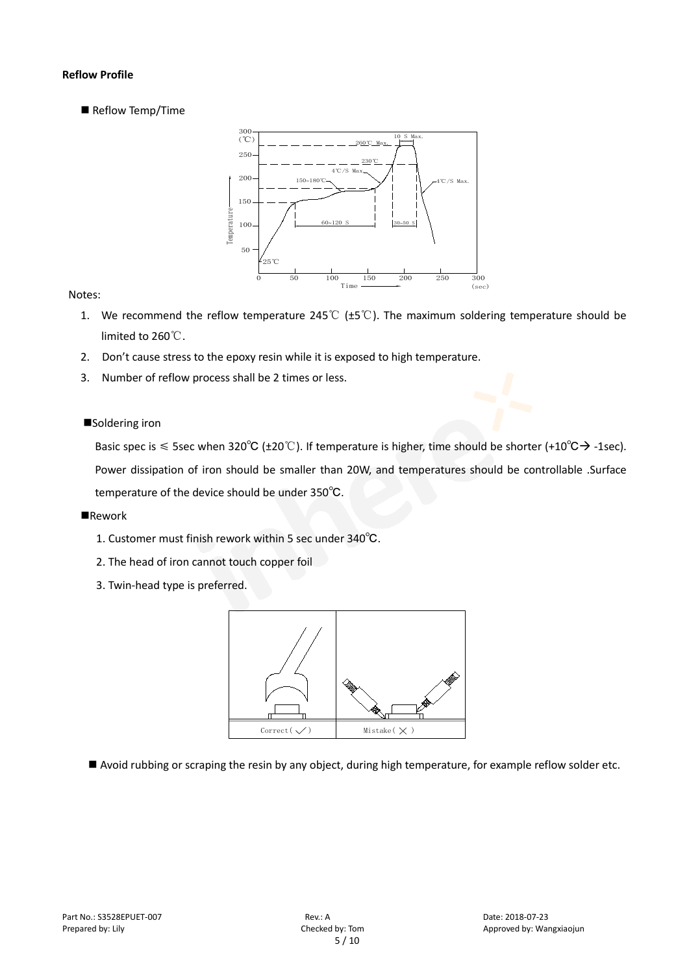#### **Reflow Profile**

Reflow Temp/Time



#### Notes:

- 1. We recommend the reflow temperature 245℃ (±5℃). The maximum soldering temperature should be limited to 260℃.
- 2. Don't cause stress to the epoxy resin while it is exposed to high temperature.
- 3. Number of reflow process shall be 2 times or less.

#### ■Soldering iron

Basic spec is  $\leq$  5sec when 320°C (±20°C). If temperature is higher, time should be shorter (+10°C $\rightarrow$ -1sec). Power dissipation of iron should be smaller than 20W, and temperatures should be controllable .Surface temperature of the device should be under 350℃.

#### **Rework**

- 1. Customer must finish rework within 5 sec under 340℃.
- 2. The head of iron cannot touch copper foil
- 3. Twin-head type is preferred.



Avoid rubbing or scraping the resin by any object, during high temperature, for example reflow solder etc.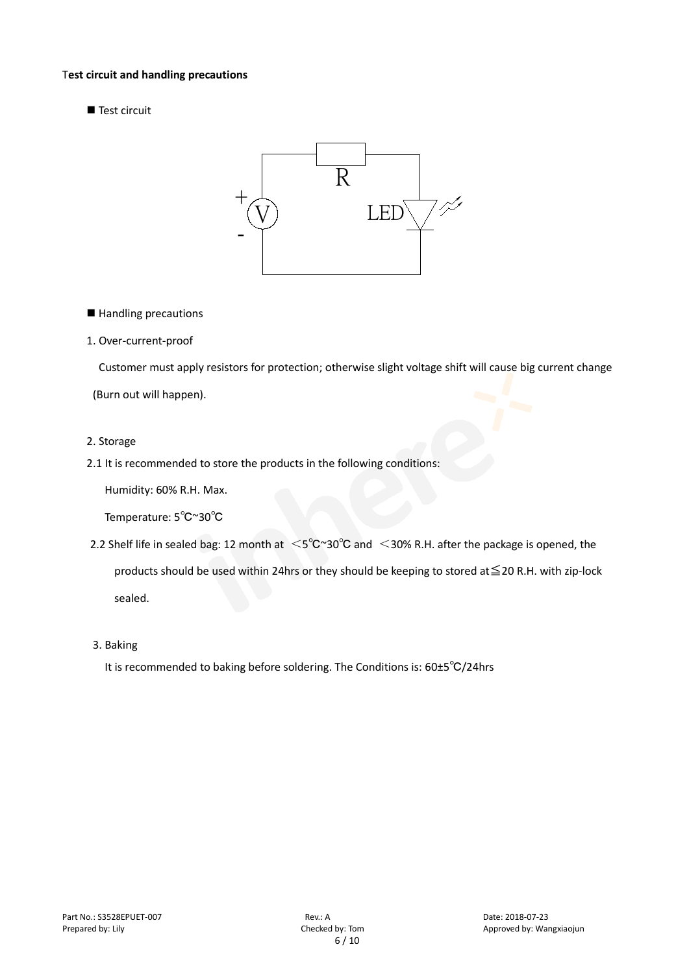#### T**est circuit and handling precautions**

■ Test circuit



■ Handling precautions

#### 1. Over-current-proof

Customer must apply resistors for protection; otherwise slight voltage shift will cause big current change (Burn out will happen).

#### 2. Storage

#### 2.1 It is recommended to store the products in the following conditions:

Humidity: 60% R.H. Max.

Temperature: 5℃~30℃

- 2.2 Shelf life in sealed bag: 12 month at <5℃~30°C and <30% R.H. after the package is opened, the products should be used within 24hrs or they should be keeping to stored at≦20 R.H. with zip-lock sealed.
- 3. Baking

It is recommended to baking before soldering. The Conditions is: 60±5℃/24hrs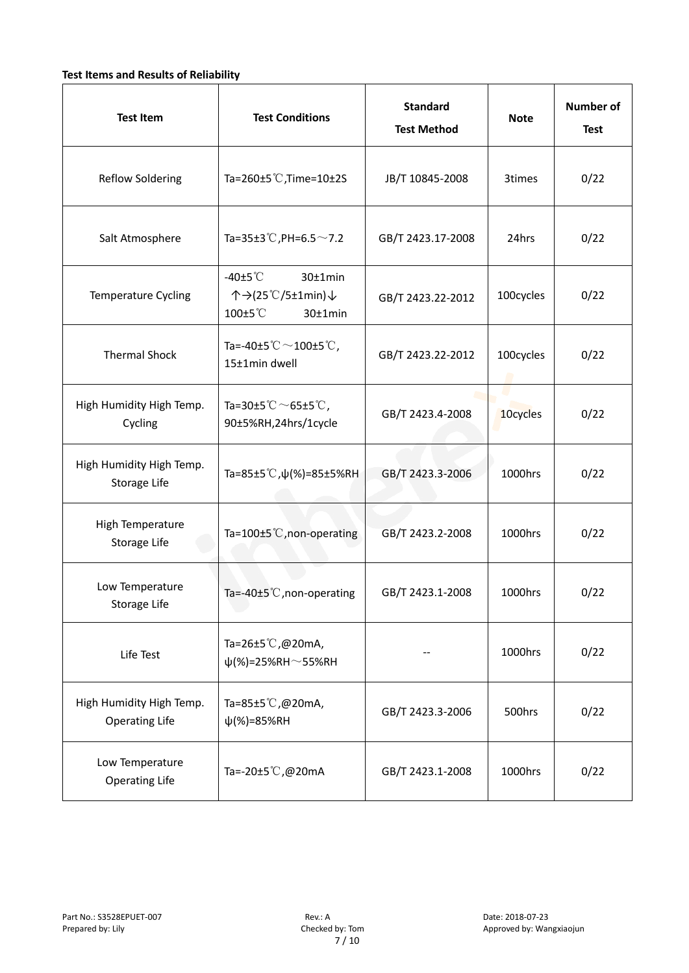#### **Test Items and Results of Reliability**

| <b>Test Item</b>                                  | <b>Standard</b><br><b>Test Conditions</b><br><b>Test Method</b>           |                   | <b>Note</b> | <b>Number of</b><br><b>Test</b> |
|---------------------------------------------------|---------------------------------------------------------------------------|-------------------|-------------|---------------------------------|
| <b>Reflow Soldering</b>                           | Ta=260±5 °C, Time=10±2S                                                   | JB/T 10845-2008   | 3times      | 0/22                            |
| Salt Atmosphere                                   | Ta=35±3°C, PH=6.5 $\sim$ 7.2                                              | GB/T 2423.17-2008 |             | 0/22                            |
| Temperature Cycling                               | -40 $±5^{\circ}$ C<br>30±1min<br>个→(25℃/5±1min)↓<br>100±5°C<br>$30±1$ min | GB/T 2423.22-2012 | 100cycles   | 0/22                            |
| <b>Thermal Shock</b>                              | Ta=-40±5 $°C$ ~100±5 $°C$ ,<br>15±1min dwell                              | GB/T 2423.22-2012 | 100cycles   | 0/22                            |
| High Humidity High Temp.<br>Cycling               | Ta=30±5 °C $\sim$ 65±5 °C,<br>90±5%RH,24hrs/1cycle                        | GB/T 2423.4-2008  | 10cycles    | 0/22                            |
| High Humidity High Temp.<br>Storage Life          | Ta=85±5 <sup>°</sup> C, $\psi$ (%)=85±5%RH                                | GB/T 2423.3-2006  | 1000hrs     | 0/22                            |
| High Temperature<br>Storage Life                  | Ta=100 $\pm$ 5°C, non-operating                                           | GB/T 2423.2-2008  | 1000hrs     | 0/22                            |
| Low Temperature<br>Storage Life                   | Ta=-40±5 $°C$ , non-operating                                             | GB/T 2423.1-2008  | 1000hrs     | 0/22                            |
| Life Test                                         | Ta=26±5°C,@20mA,<br>$\psi$ (%)=25%RH~55%RH                                |                   | 1000hrs     | 0/22                            |
| High Humidity High Temp.<br><b>Operating Life</b> | Ta=85±5 $\degree$ C, @20mA,<br>$\psi$ (%)=85%RH                           | GB/T 2423.3-2006  | 500hrs      | 0/22                            |
| Low Temperature<br><b>Operating Life</b>          | Ta=-20±5 $\mathbb{C}$ , @20mA                                             | GB/T 2423.1-2008  | 1000hrs     | 0/22                            |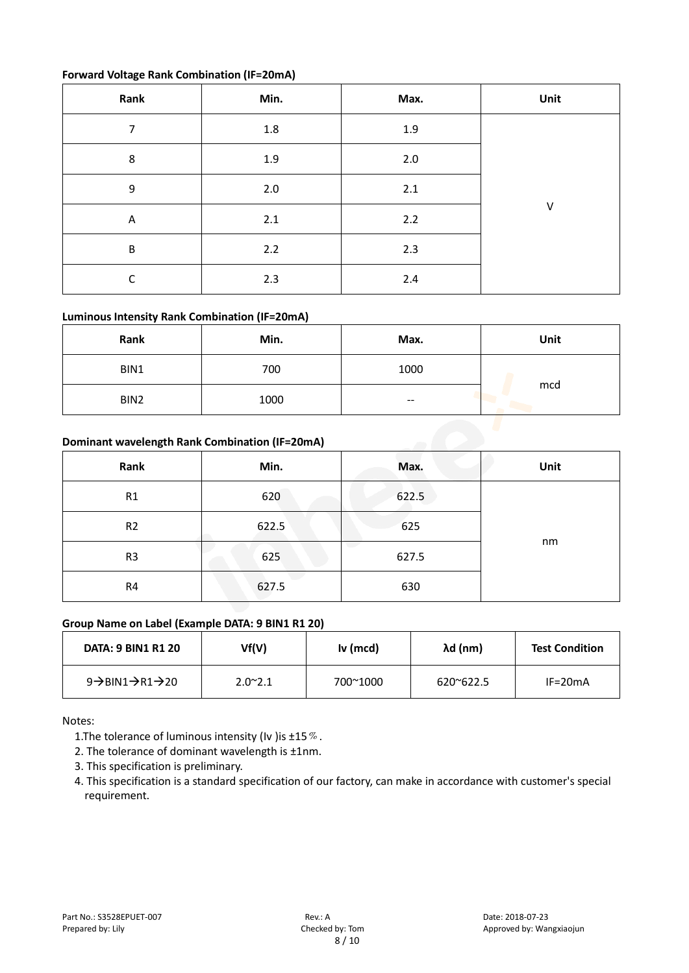#### **Forward Voltage Rank Combination (IF=20mA)**

| Rank             | Min. | Max. | Unit   |
|------------------|------|------|--------|
| 7                | 1.8  | 1.9  |        |
| 8                | 1.9  | 2.0  |        |
| $\boldsymbol{9}$ | 2.0  | 2.1  |        |
| $\overline{A}$   | 2.1  | 2.2  | $\vee$ |
| $\sf B$          | 2.2  | 2.3  |        |
| C                | 2.3  | 2.4  |        |

#### **Luminous Intensity Rank Combination (IF=20mA)**

| Rank                                           | Min. | Max. | Unit |
|------------------------------------------------|------|------|------|
| BIN1                                           | 700  | 1000 |      |
| BIN2                                           | 1000 |      | mcd  |
| Dominant wavelength Rank Combination (IF=20mA) |      |      |      |

#### **Dominant wavelength Rank Combination (IF=20mA)**

| Rank           | Min.  | Max.  | Unit |
|----------------|-------|-------|------|
| R1             | 620   | 622.5 |      |
| R <sub>2</sub> | 622.5 | 625   |      |
| R <sub>3</sub> | 625   | 627.5 | nm   |
| R4             | 627.5 | 630   |      |

#### **Group Name on Label (Example DATA: 9 BIN1 R1 20)**

| <b>DATA: 9 BIN1 R1 20</b> | Vf(V)            | Iv (mcd) | λd (nm)            | <b>Test Condition</b> |
|---------------------------|------------------|----------|--------------------|-----------------------|
| 9→BIN1→R1→20              | $2.0^{\circ}2.1$ | 700~1000 | $620^{\circ}622.5$ | $IF=20mA$             |

Notes:

1. The tolerance of luminous intensity (Iv ) is  $\pm 15\%$ .

2. The tolerance of dominant wavelength is ±1nm.

- 3. This specification is preliminary.
- 4. This specification is a standard specification of our factory, can make in accordance with customer's special requirement.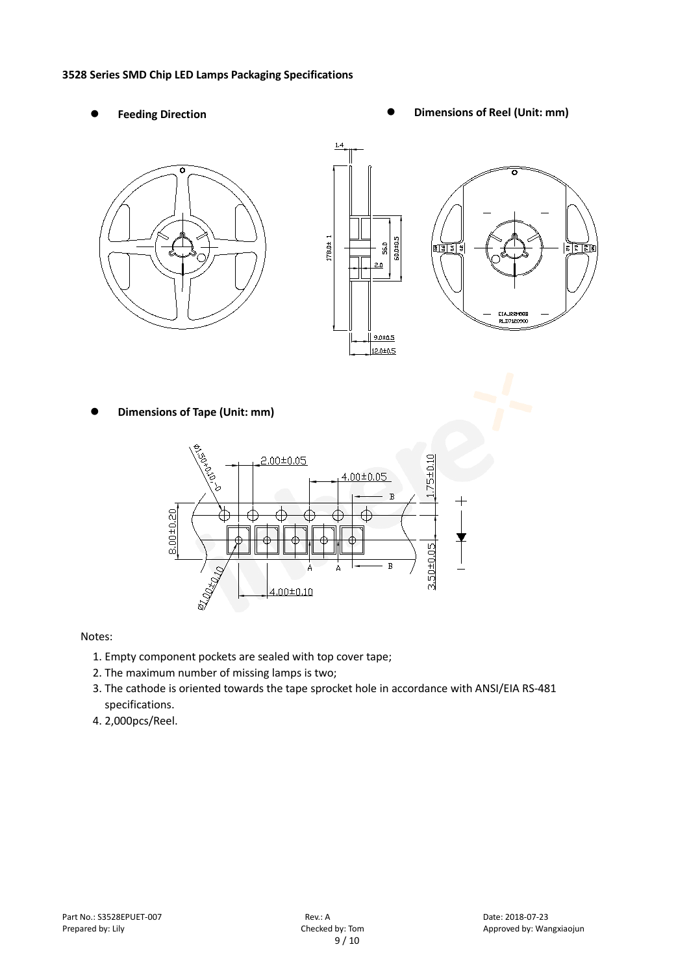#### **3528 Series SMD Chip LED Lamps Packaging Specifications**

- 
- Feeding Direction **Constanting Constanting Constanting Constanting Constanting Constanting Constanting Constanting Constanting Constanting Constanting Constanting Constanting Constanting Constanting Constanting Constanting**







**Dimensions of Tape (Unit: mm)**



#### Notes:

- 1. Empty component pockets are sealed with top cover tape;
- 2. The maximum number of missing lamps is two;
- 3. The cathode is oriented towards the tape sprocket hole in accordance with ANSI/EIA RS-481 specifications.
- 4. 2,000pcs/Reel.